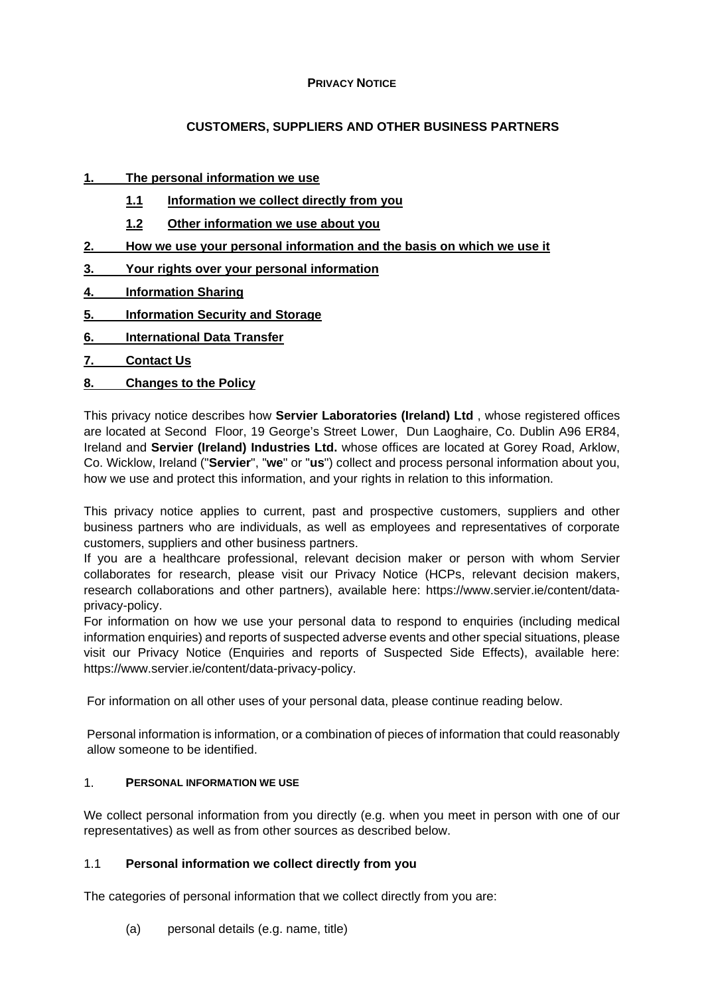#### **PRIVACY NOTICE**

# **CUSTOMERS, SUPPLIERS AND OTHER BUSINESS PARTNERS**

# **1. [The personal information we use](#page-0-0)**

- **1.1 [Information we collect directly from you](#page-0-1)**
- **1.2 Other information we use about you**
- **2. [How we use your personal information and the basis on which](#page-1-0) we use it**
- **3. [Your rights over your personal information](#page-1-1)**
- **4. [Information Sharing](#page-2-0)**
- **5. [Information Security and Storage](#page-3-0)**
- **6. [International Data Transfer](#page-3-1)**
- **7. [Contact Us](#page-3-2)**
- **8. [Changes to the Policy](#page-4-0)**

This privacy notice describes how **Servier Laboratories (Ireland) Ltd** , whose registered offices are located at Second Floor, 19 George's Street Lower, Dun Laoghaire, Co. Dublin A96 ER84, Ireland and **Servier (Ireland) Industries Ltd.** whose offices are located at Gorey Road, Arklow, Co. Wicklow, Ireland ("**Servier**", "**we**" or "**us**") collect and process personal information about you, how we use and protect this information, and your rights in relation to this information.

This privacy notice applies to current, past and prospective customers, suppliers and other business partners who are individuals, as well as employees and representatives of corporate customers, suppliers and other business partners.

If you are a healthcare professional, relevant decision maker or person with whom Servier collaborates for research, please visit our Privacy Notice (HCPs, relevant decision makers, research collaborations and other partners), available here: https://www.servier.ie/content/dataprivacy-policy.

For information on how we use your personal data to respond to enquiries (including medical information enquiries) and reports of suspected adverse events and other special situations, please visit our Privacy Notice (Enquiries and reports of Suspected Side Effects), available here: https://www.servier.ie/content/data-privacy-policy.

For information on all other uses of your personal data, please continue reading below.

Personal information is information, or a combination of pieces of information that could reasonably allow someone to be identified.

### <span id="page-0-0"></span>1. **PERSONAL INFORMATION WE USE**

We collect personal information from you directly (e.g. when you meet in person with one of our representatives) as well as from other sources as described below.

### <span id="page-0-1"></span>1.1 **Personal information we collect directly from you**

The categories of personal information that we collect directly from you are:

(a) personal details (e.g. name, title)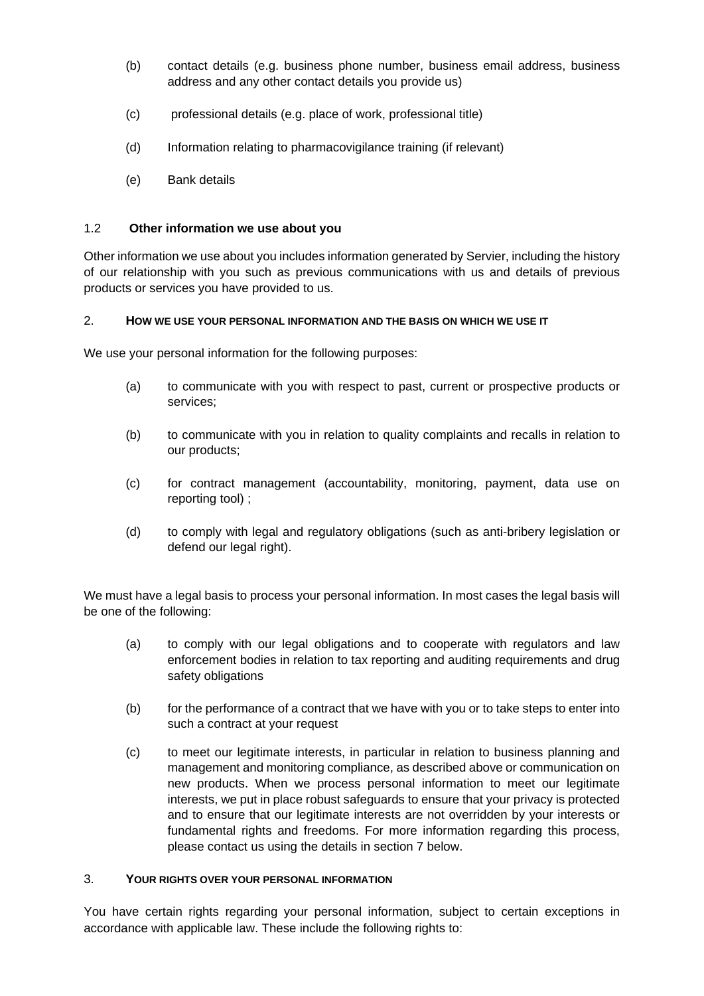- (b) contact details (e.g. business phone number, business email address, business address and any other contact details you provide us)
- (c) professional details (e.g. place of work, professional title)
- (d) Information relating to pharmacovigilance training (if relevant)
- (e) Bank details

#### 1.2 **Other information we use about you**

Other information we use about you includes information generated by Servier, including the history of our relationship with you such as previous communications with us and details of previous products or services you have provided to us.

### <span id="page-1-0"></span>2. **HOW WE USE YOUR PERSONAL INFORMATION AND THE BASIS ON WHICH WE USE IT**

We use your personal information for the following purposes:

- (a) to communicate with you with respect to past, current or prospective products or services;
- (b) to communicate with you in relation to quality complaints and recalls in relation to our products;
- (c) for contract management (accountability, monitoring, payment, data use on reporting tool) ;
- (d) to comply with legal and regulatory obligations (such as anti-bribery legislation or defend our legal right).

We must have a legal basis to process your personal information. In most cases the legal basis will be one of the following:

- (a) to comply with our legal obligations and to cooperate with regulators and law enforcement bodies in relation to tax reporting and auditing requirements and drug safety obligations
- (b) for the performance of a contract that we have with you or to take steps to enter into such a contract at your request
- (c) to meet our legitimate interests, in particular in relation to business planning and management and monitoring compliance, as described above or communication on new products. When we process personal information to meet our legitimate interests, we put in place robust safeguards to ensure that your privacy is protected and to ensure that our legitimate interests are not overridden by your interests or fundamental rights and freedoms. For more information regarding this process, please contact us using the details in section 7 below.

#### <span id="page-1-1"></span>3. **YOUR RIGHTS OVER YOUR PERSONAL INFORMATION**

You have certain rights regarding your personal information, subject to certain exceptions in accordance with applicable law. These include the following rights to: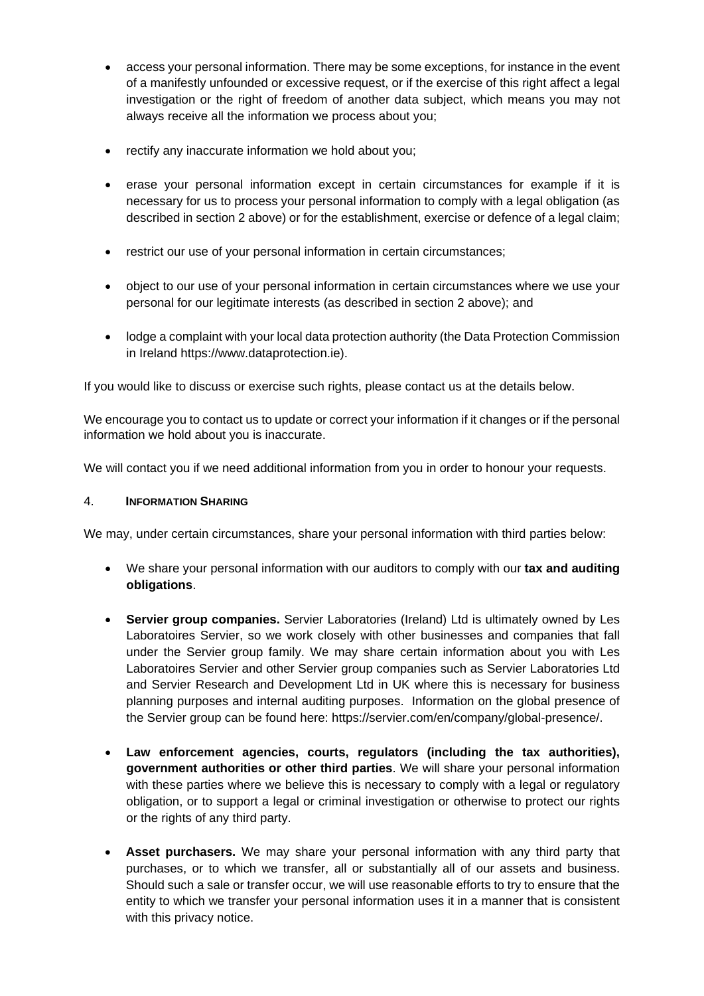- access your personal information. There may be some exceptions, for instance in the event of a manifestly unfounded or excessive request, or if the exercise of this right affect a legal investigation or the right of freedom of another data subject, which means you may not always receive all the information we process about you;
- rectify any inaccurate information we hold about you:
- erase your personal information except in certain circumstances for example if it is necessary for us to process your personal information to comply with a legal obligation (as described in section 2 above) or for the establishment, exercise or defence of a legal claim;
- restrict our use of your personal information in certain circumstances;
- object to our use of your personal information in certain circumstances where we use your personal for our legitimate interests (as described in section 2 above); and
- Iodge a complaint with your local data protection authority (the Data Protection Commission in Ireland https://www.dataprotection.ie).

If you would like to discuss or exercise such rights, please contact us at the details below.

We encourage you to contact us to update or correct your information if it changes or if the personal information we hold about you is inaccurate.

<span id="page-2-0"></span>We will contact you if we need additional information from you in order to honour your requests.

### 4. **INFORMATION SHARING**

We may, under certain circumstances, share your personal information with third parties below:

- We share your personal information with our auditors to comply with our **tax and auditing obligations**.
- **Servier group companies.** Servier Laboratories (Ireland) Ltd is ultimately owned by Les Laboratoires Servier, so we work closely with other businesses and companies that fall under the Servier group family. We may share certain information about you with Les Laboratoires Servier and other Servier group companies such as Servier Laboratories Ltd and Servier Research and Development Ltd in UK where this is necessary for business planning purposes and internal auditing purposes. Information on the global presence of the Servier group can be found here: https://servier.com/en/company/global-presence/.
- **Law enforcement agencies, courts, regulators (including the tax authorities), government authorities or other third parties**. We will share your personal information with these parties where we believe this is necessary to comply with a legal or regulatory obligation, or to support a legal or criminal investigation or otherwise to protect our rights or the rights of any third party.
- **Asset purchasers.** We may share your personal information with any third party that purchases, or to which we transfer, all or substantially all of our assets and business. Should such a sale or transfer occur, we will use reasonable efforts to try to ensure that the entity to which we transfer your personal information uses it in a manner that is consistent with this privacy notice.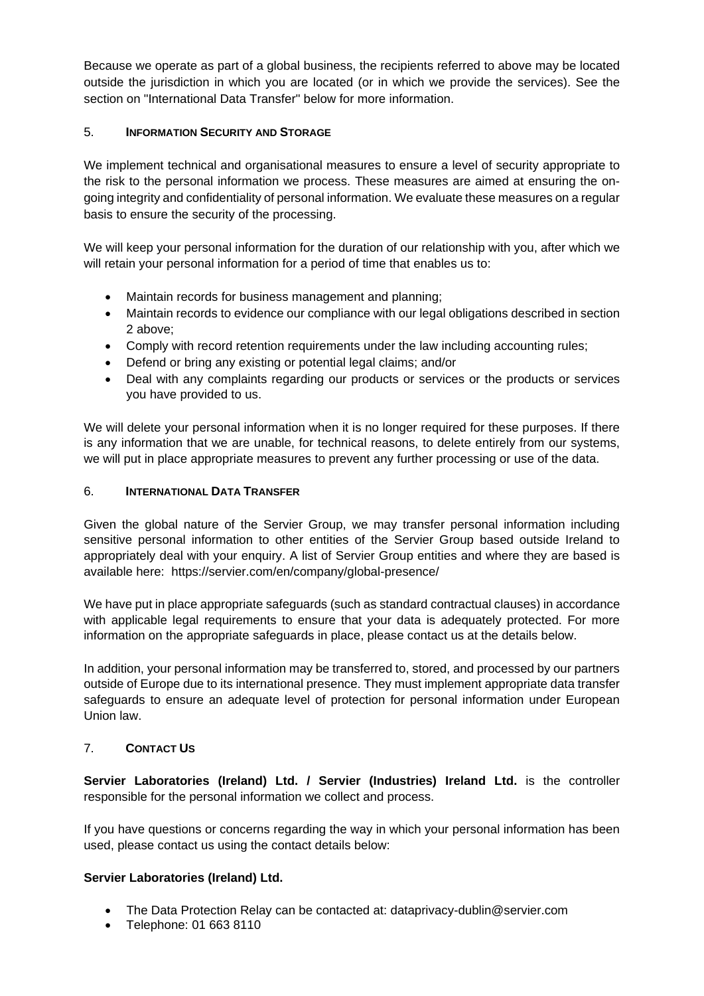Because we operate as part of a global business, the recipients referred to above may be located outside the jurisdiction in which you are located (or in which we provide the services). See the section on "International Data Transfer" below for more information.

# <span id="page-3-0"></span>5. **INFORMATION SECURITY AND STORAGE**

We implement technical and organisational measures to ensure a level of security appropriate to the risk to the personal information we process. These measures are aimed at ensuring the ongoing integrity and confidentiality of personal information. We evaluate these measures on a regular basis to ensure the security of the processing.

We will keep your personal information for the duration of our relationship with you, after which we will retain your personal information for a period of time that enables us to:

- Maintain records for business management and planning;
- Maintain records to evidence our compliance with our legal obligations described in section 2 above;
- Comply with record retention requirements under the law including accounting rules;
- Defend or bring any existing or potential legal claims; and/or
- Deal with any complaints regarding our products or services or the products or services you have provided to us.

We will delete your personal information when it is no longer required for these purposes. If there is any information that we are unable, for technical reasons, to delete entirely from our systems, we will put in place appropriate measures to prevent any further processing or use of the data.

#### <span id="page-3-1"></span>6. **INTERNATIONAL DATA TRANSFER**

Given the global nature of the Servier Group, we may transfer personal information including sensitive personal information to other entities of the Servier Group based outside Ireland to appropriately deal with your enquiry. A list of Servier Group entities and where they are based is available here: [https://servier.com/en/company/global-presence/](https://eur01.safelinks.protection.outlook.com/?url=https%3A%2F%2Fservier.com%2Fen%2Fcompany%2Fglobal-presence%2F&data=04%7C01%7CAlex.Ainscough%40servier.com%7C9e836ca1c9cd44e1b87b08d931b47019%7Ccc0a4ff694544e4b881b85f448dee2e3%7C0%7C0%7C637595473302024043%7CUnknown%7CTWFpbGZsb3d8eyJWIjoiMC4wLjAwMDAiLCJQIjoiV2luMzIiLCJBTiI6Ik1haWwiLCJXVCI6Mn0%3D%7C1000&sdata=VARRHbCGK3XB6y1R7nluI74foYPIUcDA3VCdM56v720%3D&reserved=0)

We have put in place appropriate safeguards (such as standard contractual clauses) in accordance with applicable legal requirements to ensure that your data is adequately protected. For more information on the appropriate safeguards in place, please contact us at the details below.

In addition, your personal information may be transferred to, stored, and processed by our partners outside of Europe due to its international presence. They must implement appropriate data transfer safeguards to ensure an adequate level of protection for personal information under European Union law.

### <span id="page-3-2"></span>7. **CONTACT US**

**Servier Laboratories (Ireland) Ltd. / Servier (Industries) Ireland Ltd.** is the controller responsible for the personal information we collect and process.

If you have questions or concerns regarding the way in which your personal information has been used, please contact us using the contact details below:

### **Servier Laboratories (Ireland) Ltd.**

- The Data Protection Relay can be contacted at: dataprivacy-dublin@servier.com
- Telephone: 01 663 8110